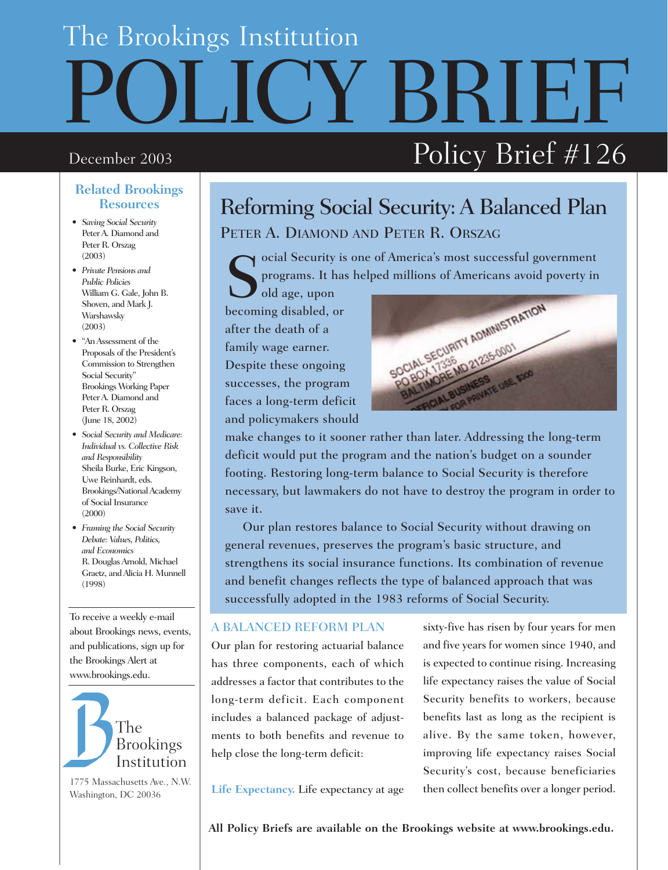# SRTF.F The Brookings Institution December 2003  $\hbox{Policy Brief}\#126$

### **Related Brookings Resources**

- *Saving Social Security* Peter A. Diamond and Peter R. Orszag (2003)
- *Private Pensions and Public Policies*  William G. Gale, John B. Shoven, and Mark J. Warshawsky (2003)
- "An Assessment of the Proposals of the President's Commission to Strengthen Social Security" Brookings Working Paper Peter A. Diamond and Peter R. Orszag (June 18, 2002)
- *Social Security and Medicare: Individual vs. Collective Risk and Responsibility* Sheila Burke, Eric Kingson, Uwe Reinhardt, eds. Brookings/National Academy of Social Insurance (2000)
- *Framing the Social Security Debate: Values, Politics, and Economics*  R. Douglas Arnold, Michael Graetz, and Alicia H. Munnell (1998)

To receive a weekly e-mail about Brookings news, events, and publications, sign up for the Brookings Alert at www.brookings.edu.



1775 Massachusetts Ave., N.W. Washington, DC 20036

# Reforming Social Security: A Balanced Plan PETER A. DIAMOND AND PETER R. ORSZAG

Social Security is one of America's most successful government<br>programs. It has helped millions of Americans avoid poverty in<br>old age, upon programs. It has helped millions of Americans avoid poverty in

old age, upon becoming disabled, or after the death of a family wage earner. Despite these ongoing successes, the program faces a long-term deficit and policymakers should



make changes to it sooner rather than later. Addressing the long-term deficit would put the program and the nation's budget on a sounder footing. Restoring long-term balance to Social Security is therefore necessary, but lawmakers do not have to destroy the program in order to save it.

Our plan restores balance to Social Security without drawing on general revenues, preserves the program's basic structure, and strengthens its social insurance functions. Its combination of revenue and benefit changes reflects the type of balanced approach that was successfully adopted in the 1983 reforms of Social Security.

### A BALANCED REFORM PLAN

Our plan for restoring actuarial balance has three components, each of which addresses a factor that contributes to the long-term deficit. Each component includes a balanced package of adjustments to both benefits and revenue to help close the long-term deficit:

sixty-five has risen by four years for men and five years for women since 1940, and is expected to continue rising. Increasing life expectancy raises the value of Social Security benefits to workers, because benefits last as long as the recipient is alive. By the same token, however, improving life expectancy raises Social Security's cost, because beneficiaries then collect benefits over a longer period.

**Life Expectancy.** Life expectancy at age

**All Policy Briefs are available on the Brookings website at www.brookings.edu.**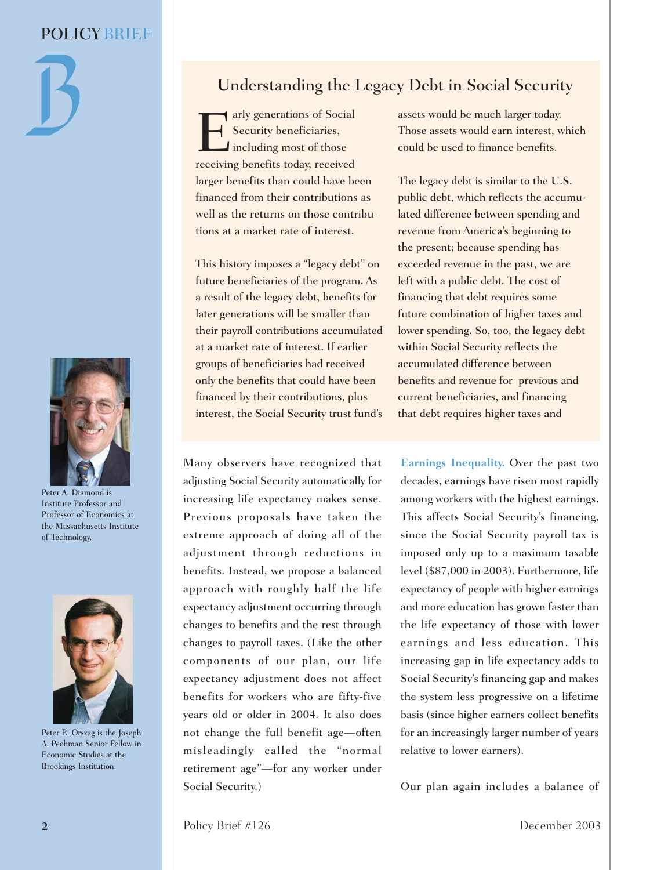



Peter A. Diamond is Institute Professor and Professor of Economics at the Massachusetts Institute of Technology.



Peter R. Orszag is the Joseph A. Pechman Senior Fellow in Economic Studies at the Brookings Institution.

# Understanding the Legacy Debt in Social Security

Tarly generations of Social<br>
Security beneficiaries,<br>
including most of those<br>
receiving benefits today received Security beneficiaries, Including most of those receiving benefits today, received larger benefits than could have been financed from their contributions as well as the returns on those contributions at a market rate of interest.

This history imposes a "legacy debt" on future beneficiaries of the program. As a result of the legacy debt, benefits for later generations will be smaller than their payroll contributions accumulated at a market rate of interest. If earlier groups of beneficiaries had received only the benefits that could have been financed by their contributions, plus interest, the Social Security trust fund's

Many observers have recognized that adjusting Social Security automatically for increasing life expectancy makes sense. Previous proposals have taken the extreme approach of doing all of the adjustment through reductions in benefits. Instead, we propose a balanced approach with roughly half the life expectancy adjustment occurring through changes to benefits and the rest through changes to payroll taxes. (Like the other components of our plan, our life expectancy adjustment does not affect benefits for workers who are fifty-five years old or older in 2004. It also does not change the full benefit age—often misleadingly called the "normal retirement age"—for any worker under Social Security.)

assets would be much larger today. Those assets would earn interest, which could be used to finance benefits.

The legacy debt is similar to the U.S. public debt, which reflects the accumulated difference between spending and revenue from America's beginning to the present; because spending has exceeded revenue in the past, we are left with a public debt. The cost of financing that debt requires some future combination of higher taxes and lower spending. So, too, the legacy debt within Social Security reflects the accumulated difference between benefits and revenue for previous and current beneficiaries, and financing that debt requires higher taxes and

**Earnings Inequality.** Over the past two decades, earnings have risen most rapidly among workers with the highest earnings. This affects Social Security's financing, since the Social Security payroll tax is imposed only up to a maximum taxable level (\$87,000 in 2003). Furthermore, life expectancy of people with higher earnings and more education has grown faster than the life expectancy of those with lower earnings and less education. This increasing gap in life expectancy adds to Social Security's financing gap and makes the system less progressive on a lifetime basis (since higher earners collect benefits for an increasingly larger number of years relative to lower earners).

Our plan again includes a balance of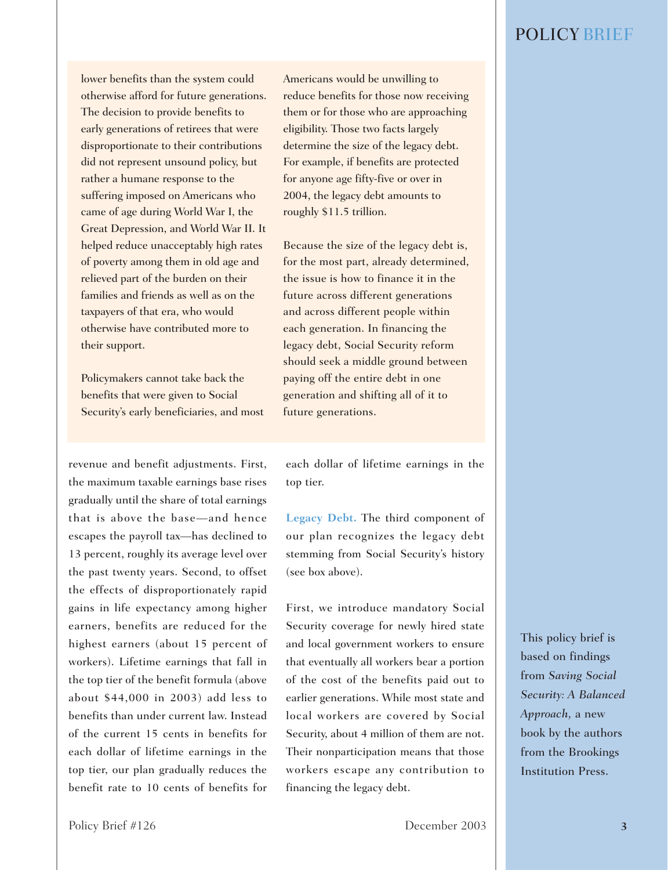lower benefits than the system could otherwise afford for future generations. The decision to provide benefits to early generations of retirees that were disproportionate to their contributions did not represent unsound policy, but rather a humane response to the suffering imposed on Americans who came of age during World War I, the Great Depression, and World War II. It helped reduce unacceptably high rates of poverty among them in old age and relieved part of the burden on their families and friends as well as on the taxpayers of that era, who would otherwise have contributed more to their support.

Policymakers cannot take back the benefits that were given to Social Security's early beneficiaries, and most

revenue and benefit adjustments. First, the maximum taxable earnings base rises gradually until the share of total earnings that is above the base—and hence escapes the payroll tax—has declined to 13 percent, roughly its average level over the past twenty years. Second, to offset the effects of disproportionately rapid gains in life expectancy among higher earners, benefits are reduced for the highest earners (about 15 percent of workers). Lifetime earnings that fall in the top tier of the benefit formula (above about \$44,000 in 2003) add less to benefits than under current law. Instead of the current 15 cents in benefits for each dollar of lifetime earnings in the top tier, our plan gradually reduces the benefit rate to 10 cents of benefits for

Americans would be unwilling to reduce benefits for those now receiving them or for those who are approaching eligibility. Those two facts largely determine the size of the legacy debt. For example, if benefits are protected for anyone age fifty-five or over in 2004, the legacy debt amounts to roughly \$11.5 trillion.

Because the size of the legacy debt is, for the most part, already determined, the issue is how to finance it in the future across different generations and across different people within each generation. In financing the legacy debt, Social Security reform should seek a middle ground between paying off the entire debt in one generation and shifting all of it to future generations.

each dollar of lifetime earnings in the top tier.

**Legacy Debt.** The third component of our plan recognizes the legacy debt stemming from Social Security's history (see box above).

First, we introduce mandatory Social Security coverage for newly hired state and local government workers to ensure that eventually all workers bear a portion of the cost of the benefits paid out to earlier generations. While most state and local workers are covered by Social Security, about 4 million of them are not. Their nonparticipation means that those workers escape any contribution to financing the legacy debt.

This policy brief is based on findings from *Saving Social Security: A Balanced Approach,* a new book by the authors from the Brookings Institution Press.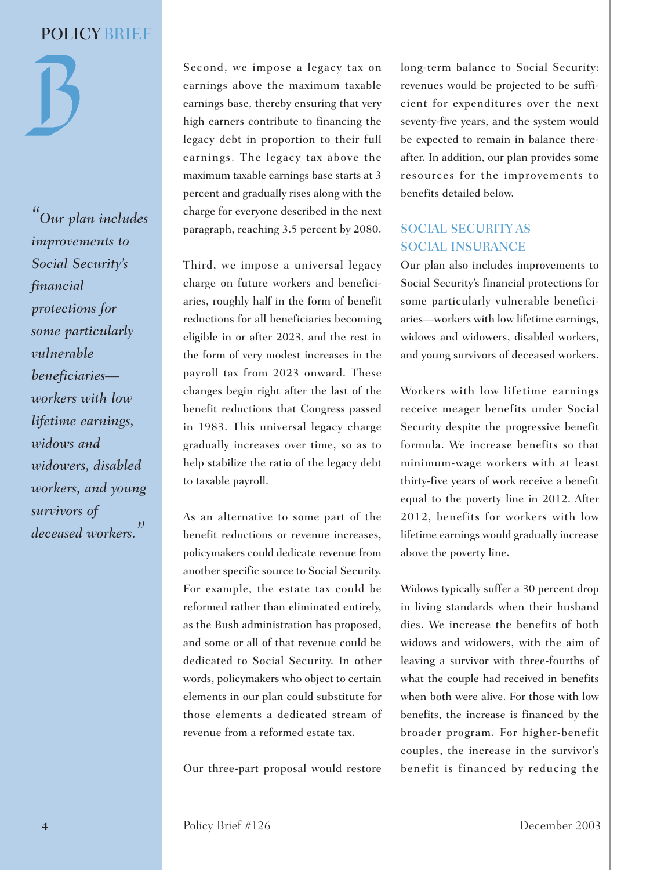*"Our plan includes improvements to Social Security's financial protections for some particularly vulnerable beneficiaries workers with low lifetime earnings, widows and widowers, disabled workers, and young survivors of deceased workers."*

Second, we impose a legacy tax on earnings above the maximum taxable earnings base, thereby ensuring that very high earners contribute to financing the legacy debt in proportion to their full earnings. The legacy tax above the maximum taxable earnings base starts at 3 percent and gradually rises along with the charge for everyone described in the next paragraph, reaching 3.5 percent by 2080.

Third, we impose a universal legacy charge on future workers and beneficiaries, roughly half in the form of benefit reductions for all beneficiaries becoming eligible in or after 2023, and the rest in the form of very modest increases in the payroll tax from 2023 onward. These changes begin right after the last of the benefit reductions that Congress passed in 1983. This universal legacy charge gradually increases over time, so as to help stabilize the ratio of the legacy debt to taxable payroll.

As an alternative to some part of the benefit reductions or revenue increases, policymakers could dedicate revenue from another specific source to Social Security. For example, the estate tax could be reformed rather than eliminated entirely, as the Bush administration has proposed, and some or all of that revenue could be dedicated to Social Security. In other words, policymakers who object to certain elements in our plan could substitute for those elements a dedicated stream of revenue from a reformed estate tax.

Our three-part proposal would restore

long-term balance to Social Security: revenues would be projected to be sufficient for expenditures over the next seventy-five years, and the system would be expected to remain in balance thereafter. In addition, our plan provides some resources for the improvements to benefits detailed below.

## SOCIAL SECURITY AS SOCIAL INSURANCE

Our plan also includes improvements to Social Security's financial protections for some particularly vulnerable beneficiaries—workers with low lifetime earnings, widows and widowers, disabled workers, and young survivors of deceased workers.

Workers with low lifetime earnings receive meager benefits under Social Security despite the progressive benefit formula. We increase benefits so that minimum-wage workers with at least thirty-five years of work receive a benefit equal to the poverty line in 2012. After 2012, benefits for workers with low lifetime earnings would gradually increase above the poverty line.

Widows typically suffer a 30 percent drop in living standards when their husband dies. We increase the benefits of both widows and widowers, with the aim of leaving a survivor with three-fourths of what the couple had received in benefits when both were alive. For those with low benefits, the increase is financed by the broader program. For higher-benefit couples, the increase in the survivor's benefit is financed by reducing the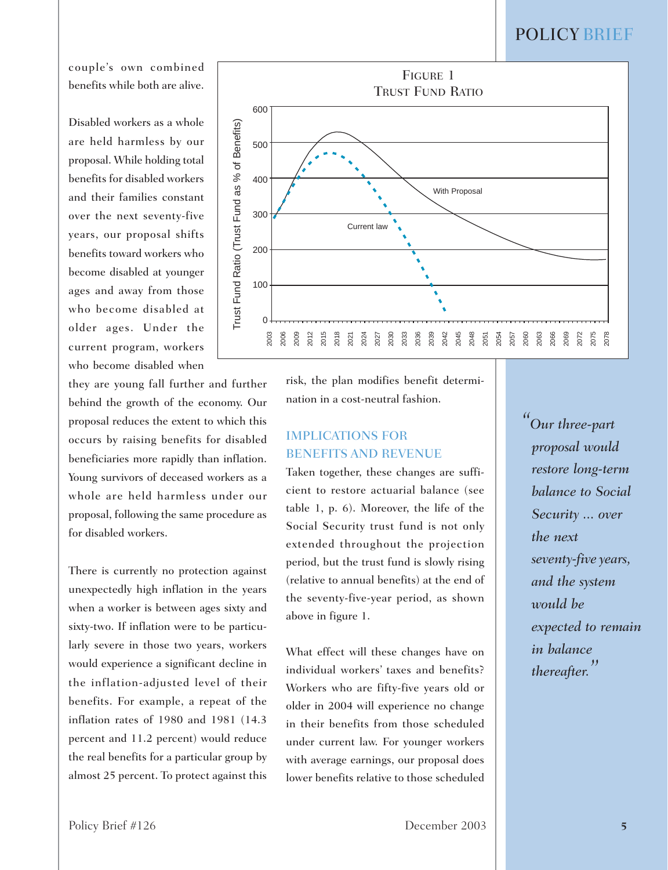couple's own combined benefits while both are alive.

Disabled workers as a whole are held harmless by our proposal. While holding total benefits for disabled workers and their families constant over the next seventy-five years, our proposal shifts benefits toward workers who become disabled at younger ages and away from those who become disabled at older ages. Under the current program, workers who become disabled when

they are young fall further and further behind the growth of the economy. Our proposal reduces the extent to which this occurs by raising benefits for disabled beneficiaries more rapidly than inflation. Young survivors of deceased workers as a whole are held harmless under our proposal, following the same procedure as for disabled workers.

There is currently no protection against unexpectedly high inflation in the years when a worker is between ages sixty and sixty-two. If inflation were to be particularly severe in those two years, workers would experience a significant decline in the inflation-adjusted level of their benefits. For example, a repeat of the inflation rates of 1980 and 1981 (14.3 percent and 11.2 percent) would reduce the real benefits for a particular group by almost 25 percent. To protect against this



risk, the plan modifies benefit determination in a cost-neutral fashion.

# IMPLICATIONS FOR BENEFITS AND REVENUE

Taken together, these changes are sufficient to restore actuarial balance (see table 1, p. 6). Moreover, the life of the Social Security trust fund is not only extended throughout the projection period, but the trust fund is slowly rising (relative to annual benefits) at the end of the seventy-five-year period, as shown above in figure 1.

What effect will these changes have on individual workers' taxes and benefits? Workers who are fifty-five years old or older in 2004 will experience no change in their benefits from those scheduled under current law. For younger workers with average earnings, our proposal does lower benefits relative to those scheduled *"Our three-part proposal would restore long-term balance to Social Security ... over the next seventy-five years, and the system would be expected to remain in balance thereafter.''*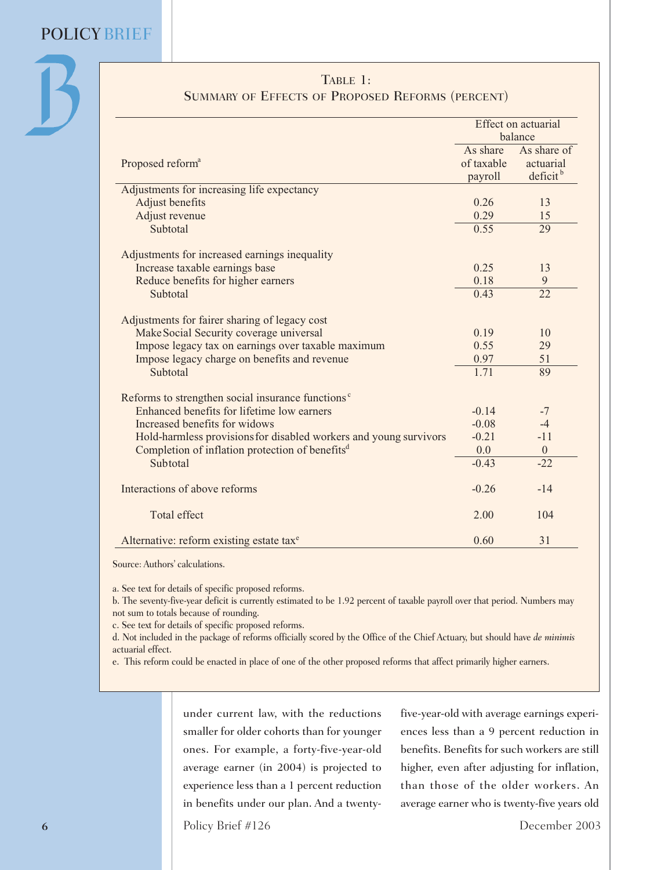| TABLE 1:                                                          |                                   |                                                  |  |  |
|-------------------------------------------------------------------|-----------------------------------|--------------------------------------------------|--|--|
| <b>SUMMARY OF EFFECTS OF PROPOSED REFORMS (PERCENT)</b>           |                                   |                                                  |  |  |
| Proposed reform <sup>a</sup>                                      | Effect on actuarial<br>balance    |                                                  |  |  |
|                                                                   | As share<br>of taxable<br>payroll | As share of<br>actuarial<br>deficit <sup>b</sup> |  |  |
| Adjustments for increasing life expectancy                        |                                   |                                                  |  |  |
| Adjust benefits                                                   | 0.26                              | 13                                               |  |  |
| Adjust revenue                                                    | 0.29                              | 15                                               |  |  |
| Subtotal                                                          | 0.55                              | 29                                               |  |  |
| Adjustments for increased earnings inequality                     |                                   |                                                  |  |  |
| Increase taxable earnings base                                    | 0.25                              | 13                                               |  |  |
| Reduce benefits for higher earners                                | 0.18                              | 9                                                |  |  |
| Subtotal                                                          | 0.43                              | $\overline{22}$                                  |  |  |
| Adjustments for fairer sharing of legacy cost                     |                                   |                                                  |  |  |
| Make Social Security coverage universal                           | 0.19                              | 10                                               |  |  |
| Impose legacy tax on earnings over taxable maximum                | 0.55                              | 29                                               |  |  |
| Impose legacy charge on benefits and revenue                      | 0.97                              | 51                                               |  |  |
| Subtotal                                                          | 1.71                              | 89                                               |  |  |
| Reforms to strengthen social insurance functions <sup>c</sup>     |                                   |                                                  |  |  |
| Enhanced benefits for lifetime low earners                        | $-0.14$                           | $-7$                                             |  |  |
| Increased benefits for widows                                     | $-0.08$                           | $-4$                                             |  |  |
| Hold-harmless provisions for disabled workers and young survivors | $-0.21$                           | $-11$                                            |  |  |
| Completion of inflation protection of benefits <sup>d</sup>       | 0.0                               | $\boldsymbol{0}$                                 |  |  |
| Subtotal                                                          | $-0.43$                           | $-22$                                            |  |  |
| Interactions of above reforms                                     | $-0.26$                           | $-14$                                            |  |  |
| <b>Total effect</b>                                               | 2.00                              | 104                                              |  |  |
| Alternative: reform existing estate tax <sup>e</sup>              | 0.60                              | 31                                               |  |  |

Source: Authors' calculations.

a. See text for details of specific proposed reforms.

b. The seventy-five-year deficit is currently estimated to be 1.92 percent of taxable payroll over that period. Numbers may not sum to totals because of rounding.

c. See text for details of specific proposed reforms.

d. Not included in the package of reforms officially scored by the Office of the Chief Actuary, but should have *de minimis* actuarial effect.

e. This reform could be enacted in place of one of the other proposed reforms that affect primarily higher earners.

under current law, with the reductions smaller for older cohorts than for younger ones. For example, a forty-five-year-old average earner (in 2004) is projected to experience less than a 1 percent reduction in benefits under our plan. And a twentyfive-year-old with average earnings experiences less than a 9 percent reduction in benefits. Benefits for such workers are still higher, even after adjusting for inflation, than those of the older workers. An average earner who is twenty-five years old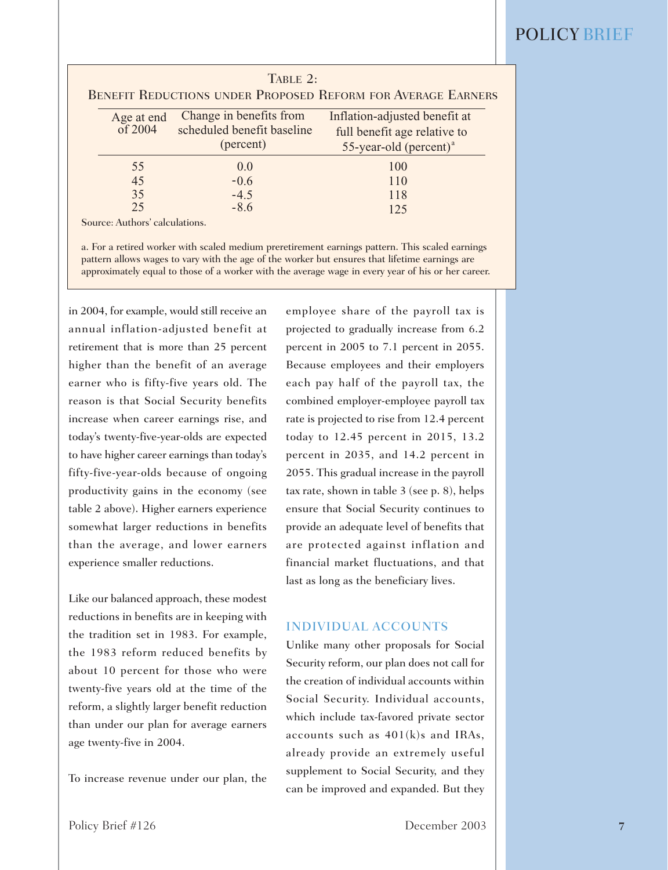|                                | TABLE $2$ :                                                        | <b>BENEFIT REDUCTIONS UNDER PROPOSED REFORM FOR AVERAGE EARNERS</b>                                    |
|--------------------------------|--------------------------------------------------------------------|--------------------------------------------------------------------------------------------------------|
| Age at end<br>of 2004          | Change in benefits from<br>scheduled benefit baseline<br>(percent) | Inflation-adjusted benefit at<br>full benefit age relative to<br>$55$ -year-old (percent) <sup>a</sup> |
| 55<br>45                       | 0.0<br>$-0.6$                                                      | 100<br>110                                                                                             |
| 35<br>25                       | $-4.5$<br>$-8.6$                                                   | 118<br>125                                                                                             |
| Source: Authors' calculations. |                                                                    |                                                                                                        |

a. For a retired worker with scaled medium preretirement earnings pattern. This scaled earnings pattern allows wages to vary with the age of the worker but ensures that lifetime earnings are approximately equal to those of a worker with the average wage in every year of his or her career.

in 2004, for example, would still receive an annual inflation-adjusted benefit at retirement that is more than 25 percent higher than the benefit of an average earner who is fifty-five years old. The reason is that Social Security benefits increase when career earnings rise, and today's twenty-five-year-olds are expected to have higher career earnings than today's fifty-five-year-olds because of ongoing productivity gains in the economy (see table 2 above). Higher earners experience somewhat larger reductions in benefits than the average, and lower earners experience smaller reductions.

Like our balanced approach, these modest reductions in benefits are in keeping with the tradition set in 1983. For example, the 1983 reform reduced benefits by about 10 percent for those who were twenty-five years old at the time of the reform, a slightly larger benefit reduction than under our plan for average earners age twenty-five in 2004.

To increase revenue under our plan, the

employee share of the payroll tax is projected to gradually increase from 6.2 percent in 2005 to 7.1 percent in 2055. Because employees and their employers each pay half of the payroll tax, the combined employer-employee payroll tax rate is projected to rise from 12.4 percent today to 12.45 percent in 2015, 13.2 percent in 2035, and 14.2 percent in 2055. This gradual increase in the payroll tax rate, shown in table 3 (see p. 8), helps ensure that Social Security continues to provide an adequate level of benefits that are protected against inflation and financial market fluctuations, and that last as long as the beneficiary lives.

#### INDIVIDUAL ACCOUNTS

Unlike many other proposals for Social Security reform, our plan does not call for the creation of individual accounts within Social Security. Individual accounts, which include tax-favored private sector accounts such as 401(k)s and IRAs, already provide an extremely useful supplement to Social Security, and they can be improved and expanded. But they